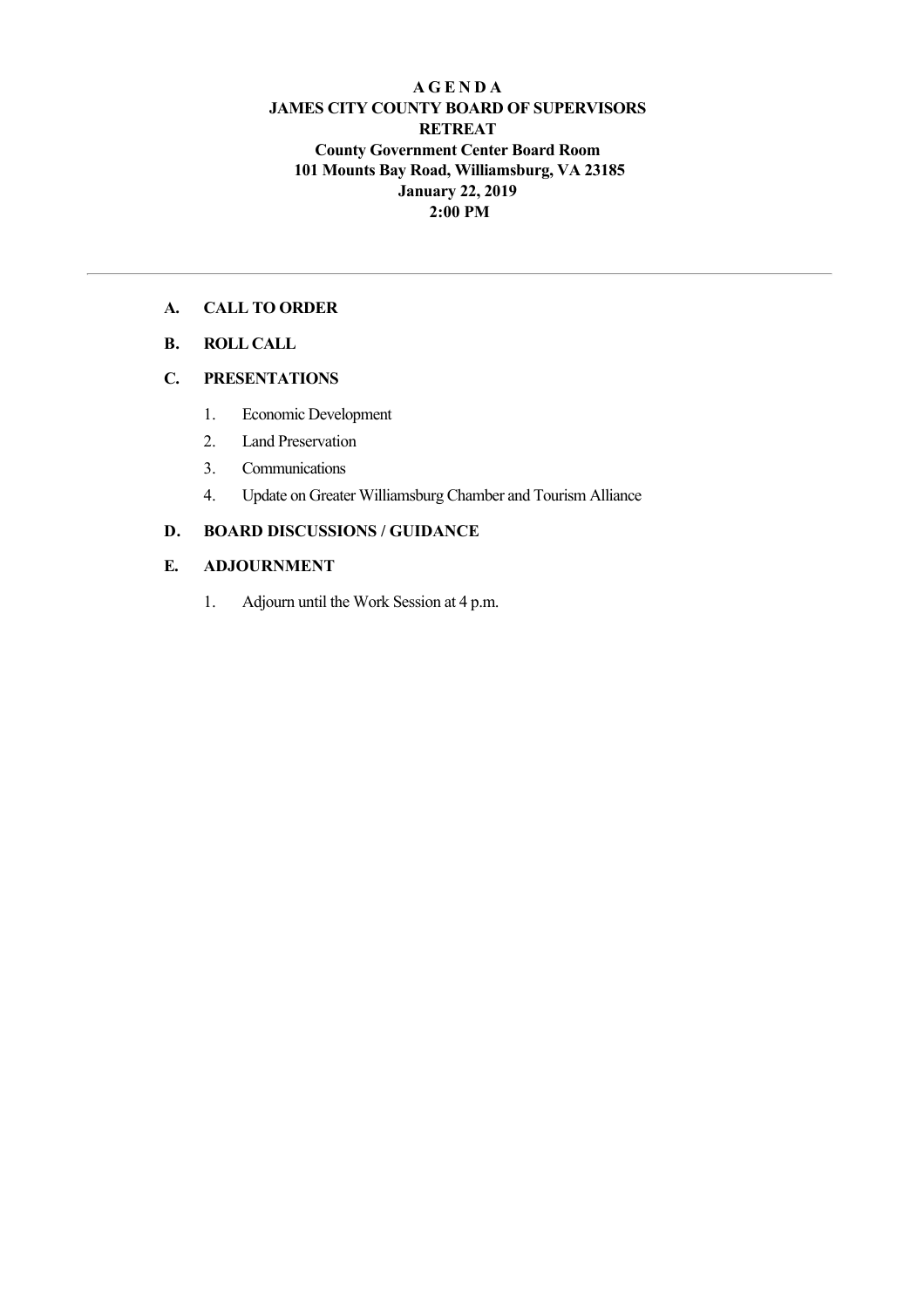## **A G E N D A JAMES CITY COUNTY BOARD OF SUPERVISORS RETREAT County Government Center Board Room 101 Mounts Bay Road, Williamsburg, VA 23185 January 22, 2019 2:00 PM**

## **A. CALL TO ORDER**

**B. ROLL CALL**

### **C. PRESENTATIONS**

- 1. Economic Development
- 2. Land Preservation
- 3. Communications
- 4. Update on Greater Williamsburg Chamber and Tourism Alliance

# **D. BOARD DISCUSSIONS / GUIDANCE**

### **E. ADJOURNMENT**

1. Adjourn until the Work Session at 4 p.m.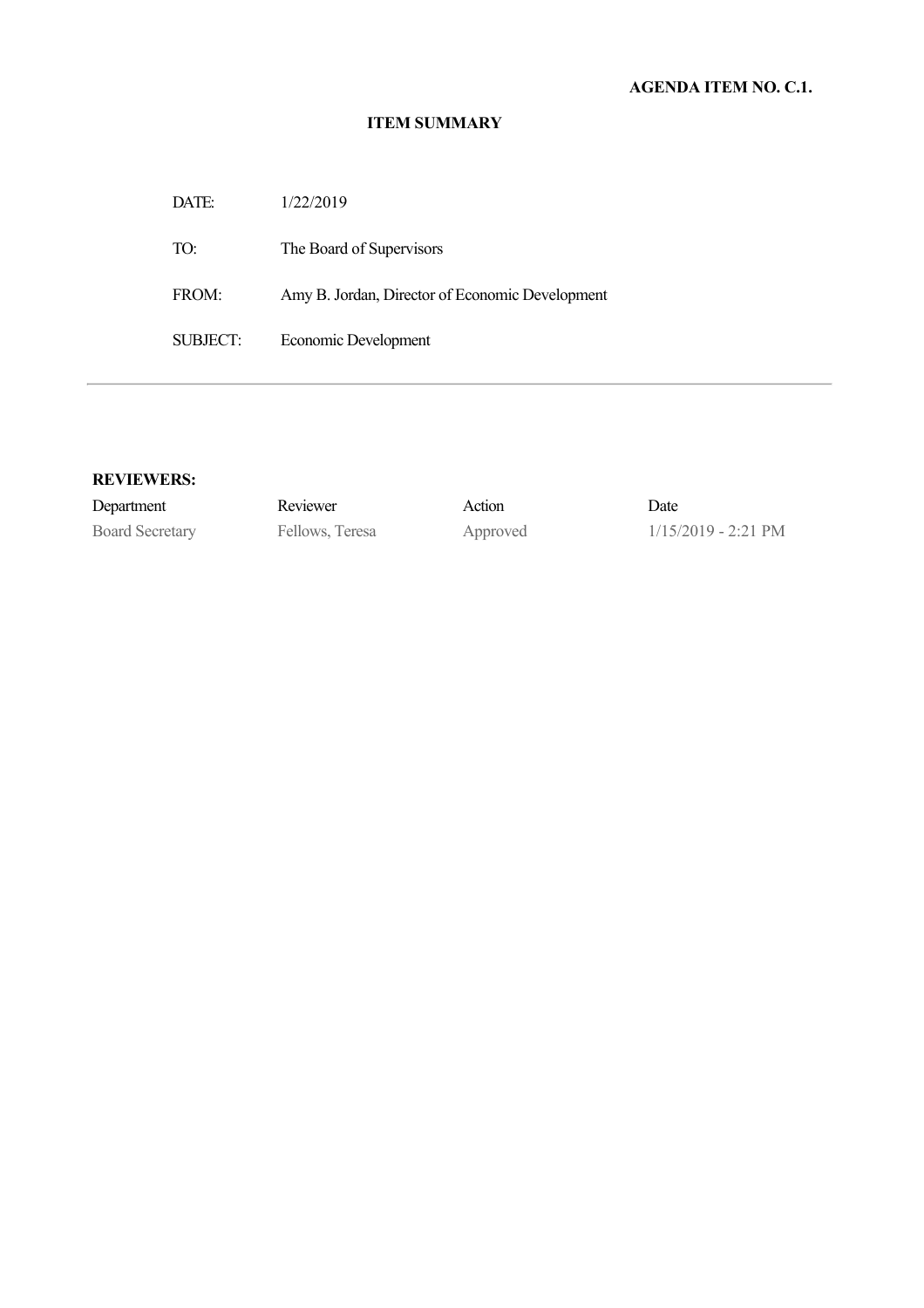| DATE:    | 1/22/2019                                       |
|----------|-------------------------------------------------|
| TO:      | The Board of Supervisors                        |
| FROM:    | Amy B. Jordan, Director of Economic Development |
| SUBJECT: | Economic Development                            |

### **REVIEWERS:**

| Department             | Reviewer        | Action   | Date                          |
|------------------------|-----------------|----------|-------------------------------|
| <b>Board Secretary</b> | Fellows, Teresa | Approved | $1/15/2019 - 2:21 \text{ PM}$ |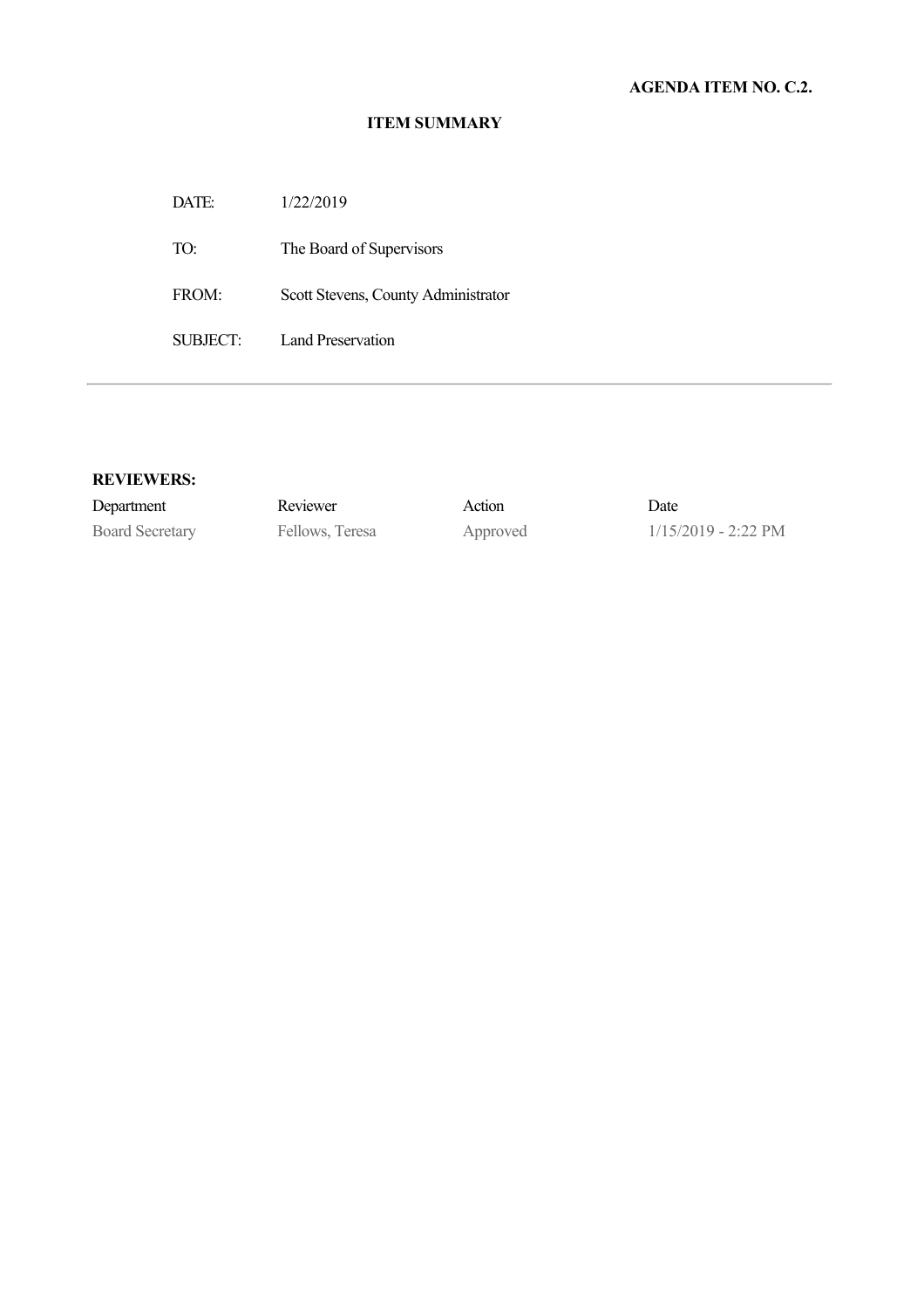DATE: 1/22/2019

TO: The Board of Supervisors

FROM: Scott Stevens, County Administrator

SUBJECT: Land Preservation

#### **REVIEWERS:**

| Department      | Reviewer       | Action    | Date |
|-----------------|----------------|-----------|------|
| Board Secretary | Fellows Teresa | Annroved. | /15/ |

Board Secretary Fellows, Teresa Approved 1/15/2019 - 2:22 PM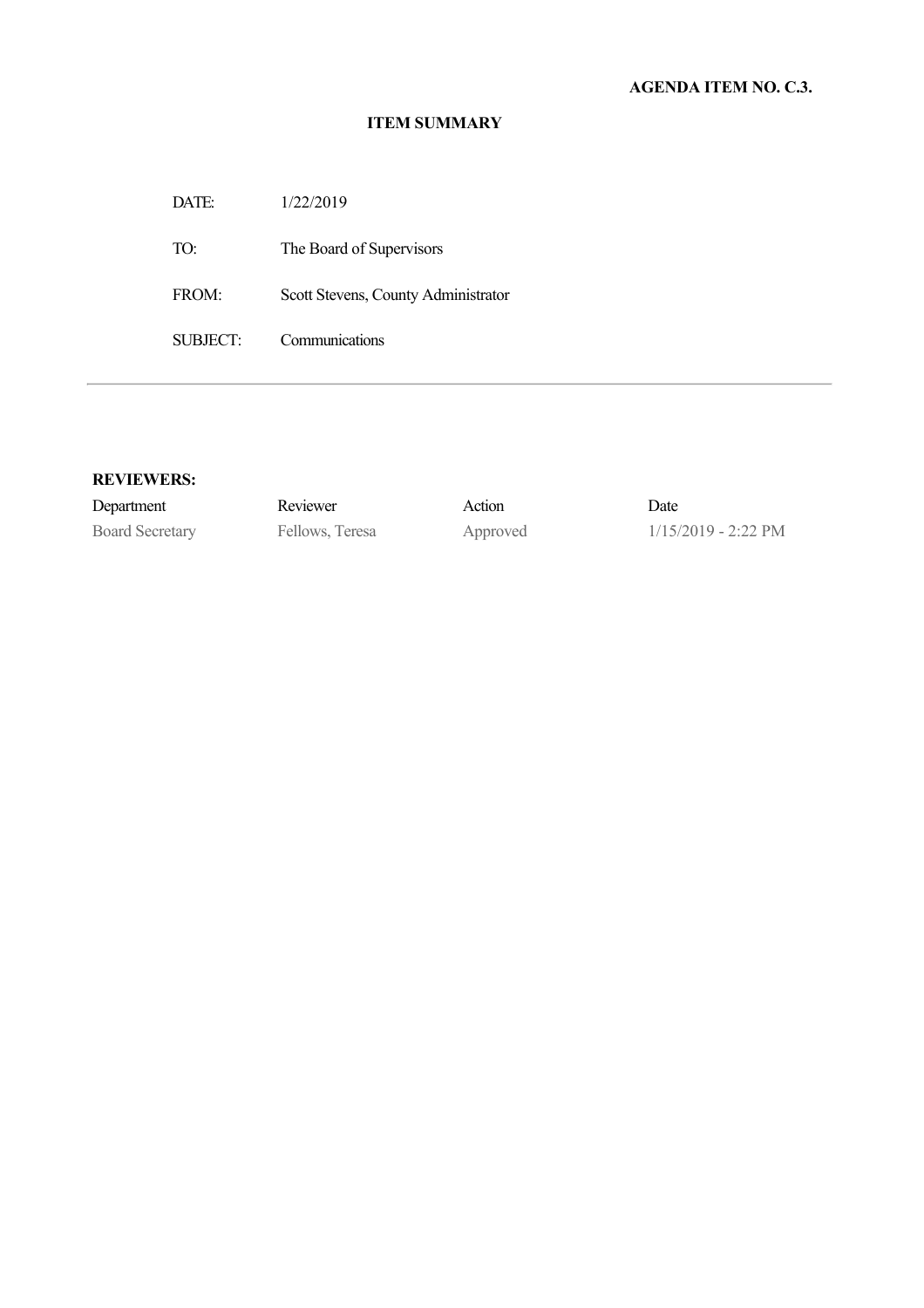DATE: 1/22/2019 TO: The Board of Supervisors

FROM: Scott Stevens, County Administrator

SUBJECT: Communications

### **REVIEWERS:**

Department Reviewer Action Date

Board Secretary Fellows, Teresa Approved 1/15/2019 - 2:22 PM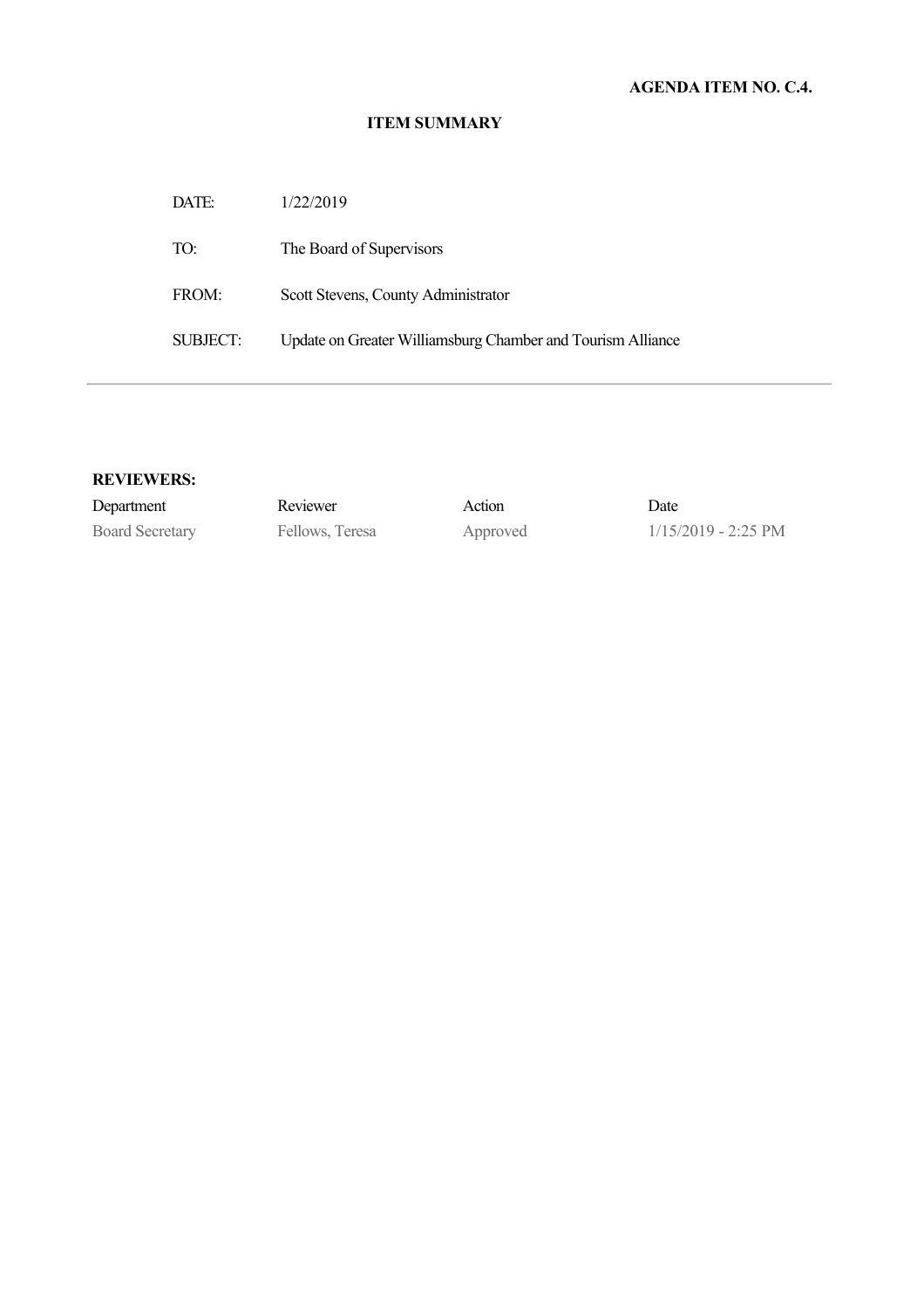| DATE:    | 1/22/2019                                                   |
|----------|-------------------------------------------------------------|
| TO:      | The Board of Supervisors                                    |
| FROM:    | Scott Stevens, County Administrator                         |
| SUBJECT: | Update on Greater Williamsburg Chamber and Tourism Alliance |

### **REVIEWERS:**

| Department             | Reviewer        | Action   | Date                          |
|------------------------|-----------------|----------|-------------------------------|
| <b>Board Secretary</b> | Fellows, Teresa | Approved | $1/15/2019 - 2:25 \text{ PM}$ |